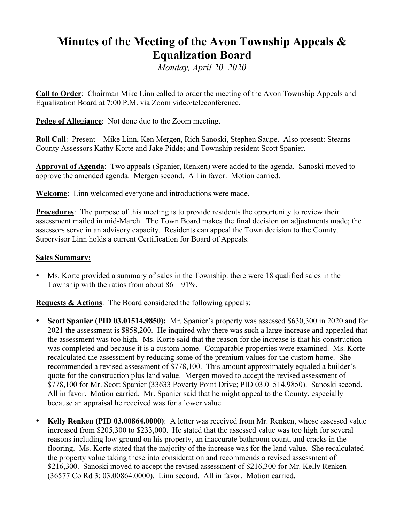## **Minutes of the Meeting of the Avon Township Appeals & Equalization Board**

*Monday, April 20, 2020*

**Call to Order**: Chairman Mike Linn called to order the meeting of the Avon Township Appeals and Equalization Board at 7:00 P.M. via Zoom video/teleconference.

**Pedge of Allegiance**: Not done due to the Zoom meeting.

**Roll Call**: Present – Mike Linn, Ken Mergen, Rich Sanoski, Stephen Saupe. Also present: Stearns County Assessors Kathy Korte and Jake Pidde; and Township resident Scott Spanier.

**Approval of Agenda**: Two appeals (Spanier, Renken) were added to the agenda. Sanoski moved to approve the amended agenda. Mergen second. All in favor. Motion carried.

**Welcome:** Linn welcomed everyone and introductions were made.

**Procedures**: The purpose of this meeting is to provide residents the opportunity to review their assessment mailed in mid-March. The Town Board makes the final decision on adjustments made; the assessors serve in an advisory capacity. Residents can appeal the Town decision to the County. Supervisor Linn holds a current Certification for Board of Appeals.

## **Sales Summary:**

• Ms. Korte provided a summary of sales in the Township: there were 18 qualified sales in the Township with the ratios from about  $86 - 91\%$ .

**Requests & Actions**: The Board considered the following appeals:

- **Scott Spanier (PID 03.01514.9850):** Mr. Spanier's property was assessed \$630,300 in 2020 and for 2021 the assessment is \$858,200. He inquired why there was such a large increase and appealed that the assessment was too high. Ms. Korte said that the reason for the increase is that his construction was completed and because it is a custom home. Comparable properties were examined. Ms. Korte recalculated the assessment by reducing some of the premium values for the custom home. She recommended a revised assessment of \$778,100. This amount approximately equaled a builder's quote for the construction plus land value. Mergen moved to accept the revised assessment of \$778,100 for Mr. Scott Spanier (33633 Poverty Point Drive; PID 03.01514.9850). Sanoski second. All in favor. Motion carried. Mr. Spanier said that he might appeal to the County, especially because an appraisal he received was for a lower value.
- **Kelly Renken (PID 03.00864.0000)**: A letter was received from Mr. Renken, whose assessed value increased from \$205,300 to \$233,000. He stated that the assessed value was too high for several reasons including low ground on his property, an inaccurate bathroom count, and cracks in the flooring. Ms. Korte stated that the majority of the increase was for the land value. She recalculated the property value taking these into consideration and recommends a revised assessment of \$216,300. Sanoski moved to accept the revised assessment of \$216,300 for Mr. Kelly Renken (36577 Co Rd 3; 03.00864.0000). Linn second. All in favor. Motion carried.